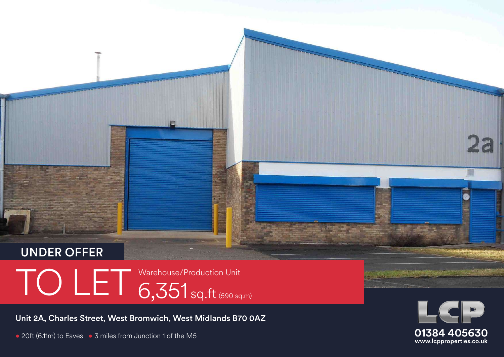# TO LET Warehouse/Production Unit<br>
6,351 sq.ft (590 sq.m) UNDER OFFER

E

Unit 2A, Charles Street, West Bromwich, West Midlands B70 0AZ

• 20ft (6.11m) to Eaves • 3 miles from Junction 1 of the M5

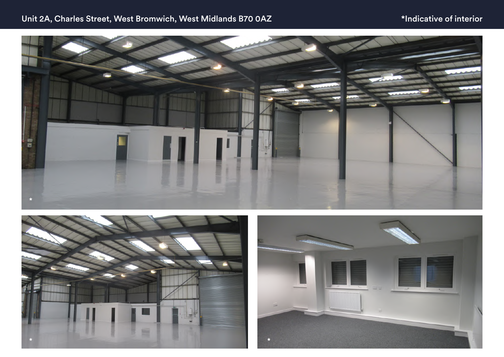# Unit 2A, Charles Street, West Bromwich, West Midlands B70 0AZ \*Indicative of interior